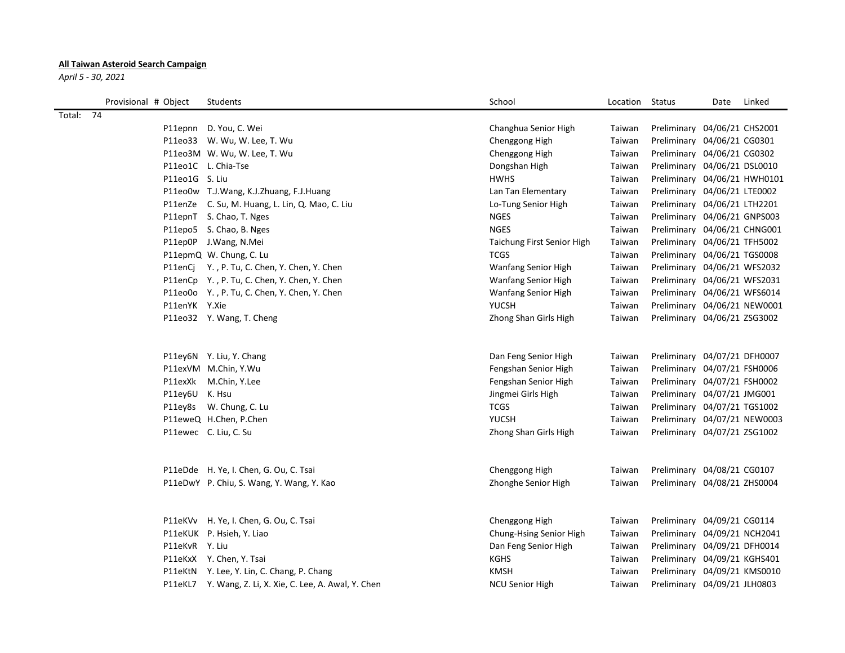## **All Taiwan Asteroid Search Campaign**

*April 5 - 30, 2021*

|           | Provisional # Object |                | Students                                                 | School                     | Location | Status                       | Date | Linked |
|-----------|----------------------|----------------|----------------------------------------------------------|----------------------------|----------|------------------------------|------|--------|
| Total: 74 |                      |                |                                                          |                            |          |                              |      |        |
|           |                      |                | P11epnn D. You, C. Wei                                   | Changhua Senior High       | Taiwan   | Preliminary 04/06/21 CHS2001 |      |        |
|           |                      |                | P11eo33 W. Wu, W. Lee, T. Wu                             | Chenggong High             | Taiwan   | Preliminary 04/06/21 CG0301  |      |        |
|           |                      |                | P11eo3M W. Wu, W. Lee, T. Wu                             | Chenggong High             | Taiwan   | Preliminary 04/06/21 CG0302  |      |        |
|           |                      |                | P11eo1C L. Chia-Tse                                      | Dongshan High              | Taiwan   | Preliminary 04/06/21 DSL0010 |      |        |
|           |                      | P11eo1G S. Liu |                                                          | <b>HWHS</b>                | Taiwan   | Preliminary 04/06/21 HWH0101 |      |        |
|           |                      |                | P11eo0w T.J.Wang, K.J.Zhuang, F.J.Huang                  | Lan Tan Elementary         | Taiwan   | Preliminary 04/06/21 LTE0002 |      |        |
|           |                      |                | P11enZe C. Su, M. Huang, L. Lin, Q. Mao, C. Liu          | Lo-Tung Senior High        | Taiwan   | Preliminary 04/06/21 LTH2201 |      |        |
|           |                      |                | P11epnT S. Chao, T. Nges                                 | <b>NGES</b>                | Taiwan   | Preliminary 04/06/21 GNPS003 |      |        |
|           |                      |                | P11epo5 S. Chao, B. Nges                                 | <b>NGES</b>                | Taiwan   | Preliminary 04/06/21 CHNG001 |      |        |
|           |                      |                | P11ep0P J.Wang, N.Mei                                    | Taichung First Senior High | Taiwan   | Preliminary 04/06/21 TFH5002 |      |        |
|           |                      |                | P11epmQ W. Chung, C. Lu                                  | <b>TCGS</b>                | Taiwan   | Preliminary 04/06/21 TGS0008 |      |        |
|           |                      |                | P11enCj Y., P. Tu, C. Chen, Y. Chen, Y. Chen             | Wanfang Senior High        | Taiwan   | Preliminary 04/06/21 WFS2032 |      |        |
|           |                      |                | P11enCp Y., P. Tu, C. Chen, Y. Chen, Y. Chen             | Wanfang Senior High        | Taiwan   | Preliminary 04/06/21 WFS2031 |      |        |
|           |                      |                | P11eo0o Y., P. Tu, C. Chen, Y. Chen, Y. Chen             | Wanfang Senior High        | Taiwan   | Preliminary 04/06/21 WFS6014 |      |        |
|           |                      | P11enYK Y.Xie  |                                                          | <b>YUCSH</b>               | Taiwan   | Preliminary 04/06/21 NEW0001 |      |        |
|           |                      |                | P11eo32 Y. Wang, T. Cheng                                | Zhong Shan Girls High      | Taiwan   | Preliminary 04/06/21 ZSG3002 |      |        |
|           |                      |                |                                                          |                            |          |                              |      |        |
|           |                      |                | P11ey6N Y. Liu, Y. Chang                                 | Dan Feng Senior High       | Taiwan   | Preliminary 04/07/21 DFH0007 |      |        |
|           |                      |                | P11exVM M.Chin, Y.Wu                                     | Fengshan Senior High       | Taiwan   | Preliminary 04/07/21 FSH0006 |      |        |
|           |                      |                | P11exXk M.Chin, Y.Lee                                    | Fengshan Senior High       | Taiwan   | Preliminary 04/07/21 FSH0002 |      |        |
|           |                      | P11ey6U K. Hsu |                                                          | Jingmei Girls High         | Taiwan   | Preliminary 04/07/21 JMG001  |      |        |
|           |                      |                | P11ey8s W. Chung, C. Lu                                  | <b>TCGS</b>                | Taiwan   | Preliminary 04/07/21 TGS1002 |      |        |
|           |                      |                | P11eweQ H.Chen, P.Chen                                   | <b>YUCSH</b>               | Taiwan   | Preliminary 04/07/21 NEW0003 |      |        |
|           |                      |                | P11ewec C. Liu, C. Su                                    | Zhong Shan Girls High      | Taiwan   | Preliminary 04/07/21 ZSG1002 |      |        |
|           |                      |                | P11eDde H. Ye, I. Chen, G. Ou, C. Tsai                   | Chenggong High             | Taiwan   | Preliminary 04/08/21 CG0107  |      |        |
|           |                      |                | P11eDwY P. Chiu, S. Wang, Y. Wang, Y. Kao                | Zhonghe Senior High        | Taiwan   | Preliminary 04/08/21 ZHS0004 |      |        |
|           |                      |                |                                                          |                            |          |                              |      |        |
|           |                      |                | P11eKVv H. Ye, I. Chen, G. Ou, C. Tsai                   | Chenggong High             | Taiwan   | Preliminary 04/09/21 CG0114  |      |        |
|           |                      |                | P11eKUK P. Hsieh, Y. Liao                                | Chung-Hsing Senior High    | Taiwan   | Preliminary 04/09/21 NCH2041 |      |        |
|           |                      | P11eKvR Y. Liu |                                                          | Dan Feng Senior High       | Taiwan   | Preliminary 04/09/21 DFH0014 |      |        |
|           |                      |                | P11eKxX Y. Chen, Y. Tsai                                 | KGHS                       | Taiwan   | Preliminary 04/09/21 KGHS401 |      |        |
|           |                      |                | P11eKtN Y. Lee, Y. Lin, C. Chang, P. Chang               | <b>KMSH</b>                | Taiwan   | Preliminary 04/09/21 KMS0010 |      |        |
|           |                      |                | P11eKL7 Y. Wang, Z. Li, X. Xie, C. Lee, A. Awal, Y. Chen | <b>NCU Senior High</b>     | Taiwan   | Preliminary 04/09/21 JLH0803 |      |        |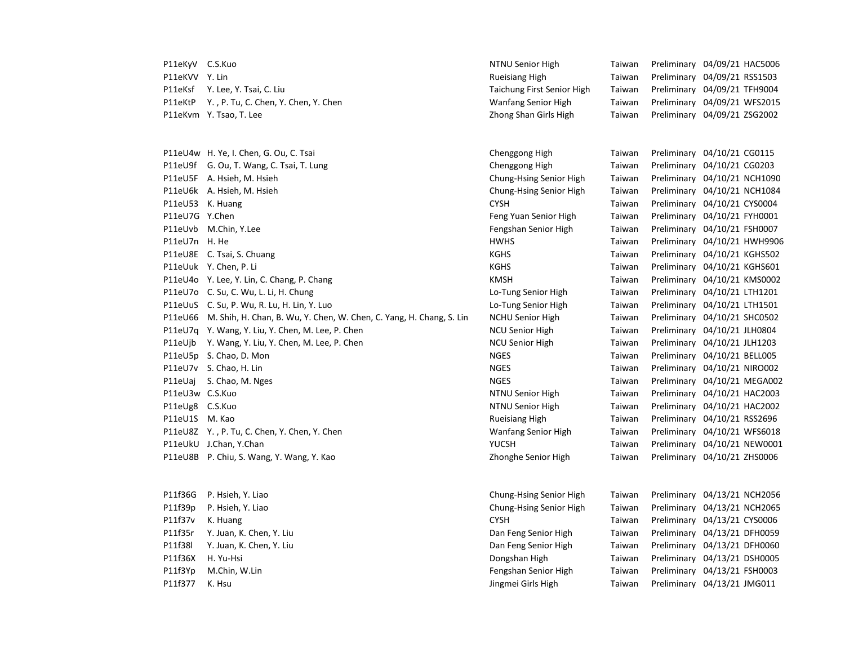| P11eKyV C.S.Kuo |                                                                              | NTNU Senior High           | Taiwan | Preliminary 04/09/21 HAC5006 |  |
|-----------------|------------------------------------------------------------------------------|----------------------------|--------|------------------------------|--|
| P11eKVV Y. Lin  |                                                                              | <b>Rueisiang High</b>      | Taiwan | Preliminary 04/09/21 RSS1503 |  |
| P11eKsf         | Y. Lee, Y. Tsai, C. Liu                                                      | Taichung First Senior High | Taiwan | Preliminary 04/09/21 TFH9004 |  |
| P11eKtP         | Y., P. Tu, C. Chen, Y. Chen, Y. Chen                                         | Wanfang Senior High        | Taiwan | Preliminary 04/09/21 WFS2015 |  |
|                 | P11eKvm Y. Tsao, T. Lee                                                      | Zhong Shan Girls High      | Taiwan | Preliminary 04/09/21 ZSG2002 |  |
|                 | P11eU4w H. Ye, I. Chen, G. Ou, C. Tsai                                       | Chenggong High             | Taiwan | Preliminary 04/10/21 CG0115  |  |
|                 | P11eU9f G. Ou, T. Wang, C. Tsai, T. Lung                                     | Chenggong High             | Taiwan | Preliminary 04/10/21 CG0203  |  |
|                 | P11eU5F A. Hsieh, M. Hsieh                                                   | Chung-Hsing Senior High    | Taiwan | Preliminary 04/10/21 NCH1090 |  |
|                 | P11eU6k A. Hsieh, M. Hsieh                                                   | Chung-Hsing Senior High    | Taiwan | Preliminary 04/10/21 NCH1084 |  |
|                 | P11eU53 K. Huang                                                             | <b>CYSH</b>                | Taiwan | Preliminary 04/10/21 CYS0004 |  |
| P11eU7G Y.Chen  |                                                                              | Feng Yuan Senior High      | Taiwan | Preliminary 04/10/21 FYH0001 |  |
|                 | P11eUvb M.Chin, Y.Lee                                                        | Fengshan Senior High       | Taiwan | Preliminary 04/10/21 FSH0007 |  |
| P11eU7n H. He   |                                                                              | <b>HWHS</b>                | Taiwan | Preliminary 04/10/21 HWH9906 |  |
|                 | P11eU8E C. Tsai, S. Chuang                                                   | KGHS                       | Taiwan | Preliminary 04/10/21 KGHS502 |  |
|                 | P11eUuk Y. Chen, P. Li                                                       | <b>KGHS</b>                | Taiwan | Preliminary 04/10/21 KGHS601 |  |
|                 | P11eU4o Y. Lee, Y. Lin, C. Chang, P. Chang                                   | KMSH                       | Taiwan | Preliminary 04/10/21 KMS0002 |  |
|                 | P11eU7o C. Su, C. Wu, L. Li, H. Chung                                        | Lo-Tung Senior High        | Taiwan | Preliminary 04/10/21 LTH1201 |  |
|                 | P11eUuS C. Su, P. Wu, R. Lu, H. Lin, Y. Luo                                  | Lo-Tung Senior High        | Taiwan | Preliminary 04/10/21 LTH1501 |  |
|                 | P11eU66 M. Shih, H. Chan, B. Wu, Y. Chen, W. Chen, C. Yang, H. Chang, S. Lin | <b>NCHU Senior High</b>    | Taiwan | Preliminary 04/10/21 SHC0502 |  |
|                 | P11eU7q Y. Wang, Y. Liu, Y. Chen, M. Lee, P. Chen                            | <b>NCU Senior High</b>     | Taiwan | Preliminary 04/10/21 JLH0804 |  |
|                 | P11eUjb Y. Wang, Y. Liu, Y. Chen, M. Lee, P. Chen                            | <b>NCU Senior High</b>     | Taiwan | Preliminary 04/10/21 JLH1203 |  |
|                 | P11eU5p S. Chao, D. Mon                                                      | <b>NGES</b>                | Taiwan | Preliminary 04/10/21 BELL005 |  |
|                 | P11eU7v S. Chao, H. Lin                                                      | <b>NGES</b>                | Taiwan | Preliminary 04/10/21 NIRO002 |  |
| P11eUaj         | S. Chao, M. Nges                                                             | <b>NGES</b>                | Taiwan | Preliminary 04/10/21 MEGA002 |  |
| P11eU3w C.S.Kuo |                                                                              | NTNU Senior High           | Taiwan | Preliminary 04/10/21 HAC2003 |  |
| P11eUg8 C.S.Kuo |                                                                              | NTNU Senior High           | Taiwan | Preliminary 04/10/21 HAC2002 |  |
| P11eU1S M. Kao  |                                                                              | <b>Rueisiang High</b>      | Taiwan | Preliminary 04/10/21 RSS2696 |  |
|                 | P11eU8Z Y., P. Tu, C. Chen, Y. Chen, Y. Chen                                 | Wanfang Senior High        | Taiwan | Preliminary 04/10/21 WFS6018 |  |
|                 | P11eUkU J.Chan, Y.Chan                                                       | <b>YUCSH</b>               | Taiwan | Preliminary 04/10/21 NEW0001 |  |
|                 | P11eU8B P. Chiu, S. Wang, Y. Wang, Y. Kao                                    | Zhonghe Senior High        | Taiwan | Preliminary 04/10/21 ZHS0006 |  |
| P11f36G         | P. Hsieh, Y. Liao                                                            | Chung-Hsing Senior High    | Taiwan | Preliminary 04/13/21 NCH2056 |  |
| P11f39p         | P. Hsieh, Y. Liao                                                            | Chung-Hsing Senior High    | Taiwan | Preliminary 04/13/21 NCH2065 |  |
| P11f37v         | K. Huang                                                                     | <b>CYSH</b>                | Taiwan | Preliminary 04/13/21 CYS0006 |  |
| P11f35r         | Y. Juan, K. Chen, Y. Liu                                                     | Dan Feng Senior High       | Taiwan | Preliminary 04/13/21 DFH0059 |  |
| P11f38l         | Y. Juan, K. Chen, Y. Liu                                                     | Dan Feng Senior High       | Taiwan | Preliminary 04/13/21 DFH0060 |  |
| P11f36X         | H. Yu-Hsi                                                                    | Dongshan High              | Taiwan | Preliminary 04/13/21 DSH0005 |  |
| P11f3Yp         | M.Chin, W.Lin                                                                | Fengshan Senior High       | Taiwan | Preliminary 04/13/21 FSH0003 |  |
| P11f377         | K. Hsu                                                                       | Jingmei Girls High         | Taiwan | Preliminary 04/13/21 JMG011  |  |